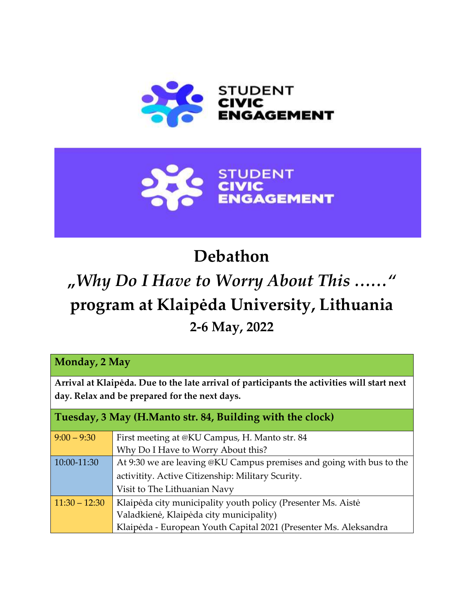



## **Debathon**

## **"***Why Do I Have to Worry About This ……"*  **program at Klaipėda University, Lithuania 2-6 May, 2022**

**Monday, 2 May**

**Arrival at Klaipėda. Due to the late arrival of participants the activities will start next day. Relax and be prepared for the next days.**

| Tuesday, 3 May (H.Manto str. 84, Building with the clock) |                                                                      |  |
|-----------------------------------------------------------|----------------------------------------------------------------------|--|
| $9:00 - 9:30$                                             | First meeting at @KU Campus, H. Manto str. 84                        |  |
|                                                           | Why Do I Have to Worry About this?                                   |  |
| 10:00-11:30                                               | At 9:30 we are leaving @KU Campus premises and going with bus to the |  |
|                                                           | activitity. Active Citizenship: Military Scurity.                    |  |
|                                                           | Visit to The Lithuanian Navy                                         |  |
| $11:30 - 12:30$                                           | Klaipėda city municipality youth policy (Presenter Ms. Aistė         |  |
|                                                           | Valadkienė, Klaipėda city municipality)                              |  |
|                                                           | Klaipėda - European Youth Capital 2021 (Presenter Ms. Aleksandra     |  |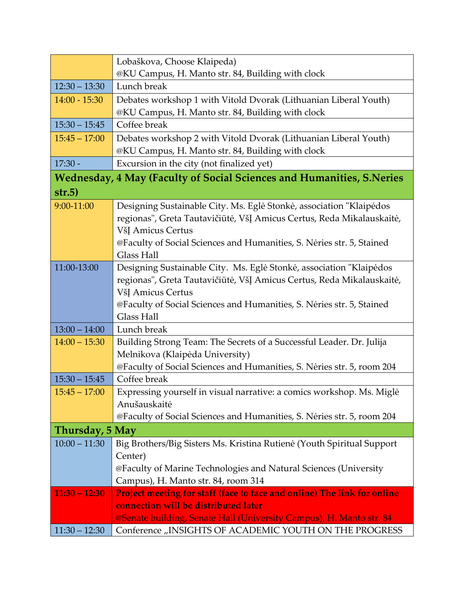|                                                                       | Lobaškova, Choose Klaipeda)                                                                |  |
|-----------------------------------------------------------------------|--------------------------------------------------------------------------------------------|--|
|                                                                       | @KU Campus, H. Manto str. 84, Building with clock                                          |  |
| $12:30 - 13:30$                                                       | Lunch break                                                                                |  |
| $14:00 - 15:30$                                                       | Debates workshop 1 with Vitold Dvorak (Lithuanian Liberal Youth)                           |  |
|                                                                       | @KU Campus, H. Manto str. 84, Building with clock                                          |  |
| $15:30 - 15:45$                                                       | Coffee break                                                                               |  |
| $15:45 - 17:00$                                                       | Debates workshop 2 with Vitold Dvorak (Lithuanian Liberal Youth)                           |  |
|                                                                       | @KU Campus, H. Manto str. 84, Building with clock                                          |  |
| $17:30 -$                                                             | Excursion in the city (not finalized yet)                                                  |  |
| Wednesday, 4 May (Faculty of Social Sciences and Humanities, S.Neries |                                                                                            |  |
| str.5)                                                                |                                                                                            |  |
| 9:00-11:00                                                            | Designing Sustainable City. Ms. Eglė Stonkė, association "Klaipėdos                        |  |
|                                                                       | regionas", Greta Tautavičiūtė, VšĮ Amicus Certus, Reda Mikalauskaitė,                      |  |
|                                                                       | VšĮ Amicus Certus                                                                          |  |
|                                                                       | @Faculty of Social Sciences and Humanities, S. Nėries str. 5, Stained                      |  |
|                                                                       | <b>Glass Hall</b>                                                                          |  |
| 11:00-13:00                                                           | Designing Sustainable City. Ms. Eglė Stonkė, association "Klaipėdos                        |  |
|                                                                       | regionas", Greta Tautavičiūtė, VšĮ Amicus Certus, Reda Mikalauskaitė,                      |  |
|                                                                       | VšĮ Amicus Certus                                                                          |  |
|                                                                       | @Faculty of Social Sciences and Humanities, S. Neries str. 5, Stained<br><b>Glass Hall</b> |  |
| $13:00 - 14:00$                                                       | Lunch break                                                                                |  |
| $14:00 - 15:30$                                                       | Building Strong Team: The Secrets of a Successful Leader. Dr. Julija                       |  |
|                                                                       | Melnikova (Klaipėda University)                                                            |  |
|                                                                       | @Faculty of Social Sciences and Humanities, S. Nėries str. 5, room 204                     |  |
| $15:30 - 15:45$                                                       | Coffee break                                                                               |  |
| $15:45 - 17:00$                                                       | Expressing yourself in visual narrative: a comics workshop. Ms. Miglė                      |  |
|                                                                       | Anušauskaitė                                                                               |  |
|                                                                       | @Faculty of Social Sciences and Humanities, S. Nėries str. 5, room 204                     |  |
| Thursday, 5 May                                                       |                                                                                            |  |
| $10:00 - 11:30$                                                       | Big Brothers/Big Sisters Ms. Kristina Rutienė (Youth Spiritual Support                     |  |
|                                                                       | Center)                                                                                    |  |
|                                                                       | @Faculty of Marine Technologies and Natural Sciences (University                           |  |
|                                                                       | Campus), H. Manto str. 84, room 314                                                        |  |
| $11:30 - 12:30$                                                       | Project meeting for staff (face to face and online) The link for online                    |  |
|                                                                       | connection will be distributed later                                                       |  |
|                                                                       | @Senate building, Senate Hall (University Campus), H. Manto str. 84                        |  |
| $11:30 - 12:30$                                                       | Conference "INSIGHTS OF ACADEMIC YOUTH ON THE PROGRESS                                     |  |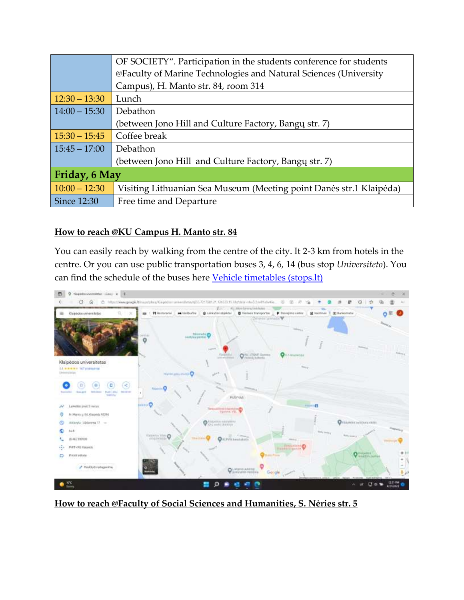|                 | OF SOCIETY". Participation in the students conference for students  |
|-----------------|---------------------------------------------------------------------|
|                 | @Faculty of Marine Technologies and Natural Sciences (University    |
|                 | Campus), H. Manto str. 84, room 314                                 |
| $12:30 - 13:30$ | Lunch                                                               |
| $14:00 - 15:30$ | Debathon                                                            |
|                 | (between Jono Hill and Culture Factory, Bangu str. 7)               |
| $15:30 - 15:45$ | Coffee break                                                        |
| $15:45 - 17:00$ | Debathon                                                            |
|                 | (between Jono Hill and Culture Factory, Bangų str. 7)               |
| Friday, 6 May   |                                                                     |
| $10:00 - 12:30$ | Visiting Lithuanian Sea Museum (Meeting point Danes str.1 Klaipeda) |
| Since 12:30     | Free time and Departure                                             |

## **How to reach @KU Campus H. Manto str. 84**

You can easily reach by walking from the centre of the city. It 2-3 km from hotels in the centre. Or you can use public transportation buses 3, 4, 6, 14 (bus stop *Universiteto*). You can find the schedule of the buses here [Vehicle timetables \(stops.lt\)](https://m.stops.lt/klaipeda/#klaipeda/en)



**How to reach @Faculty of Social Sciences and Humanities, S. Nėries str. 5**